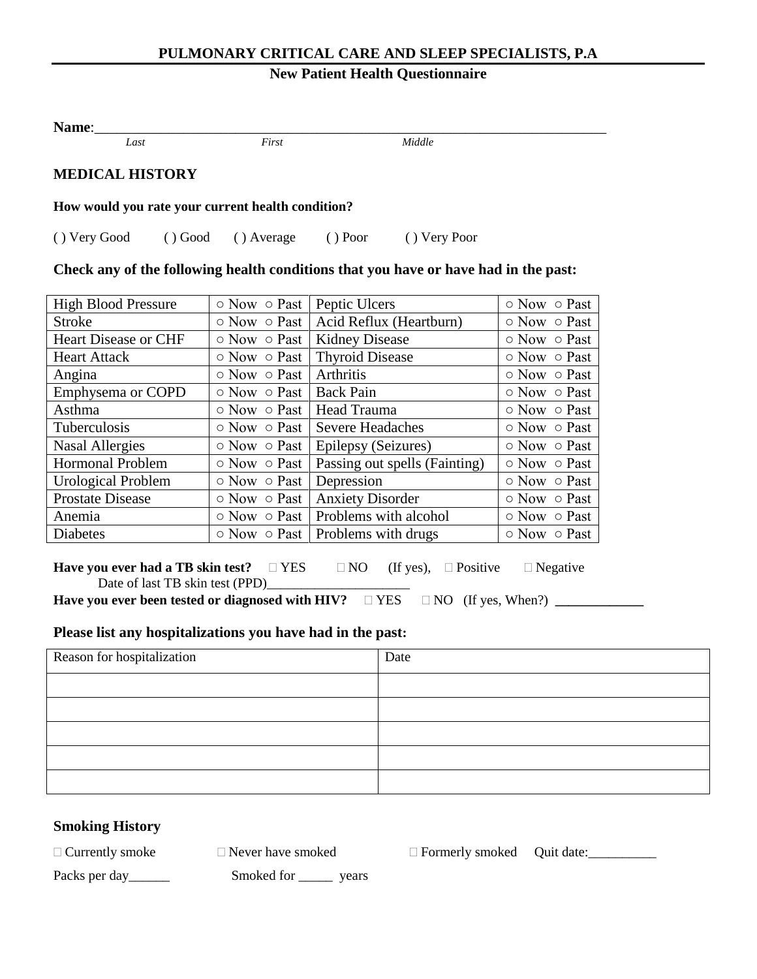### **PULMONARY CRITICAL CARE AND SLEEP SPECIALISTS, P.A**

## **New Patient Health Questionnaire**

| <b>Name:</b>                                      |  |       |           |              |  |  |  |
|---------------------------------------------------|--|-------|-----------|--------------|--|--|--|
| Last                                              |  | First |           | Middle       |  |  |  |
| <b>MEDICAL HISTORY</b>                            |  |       |           |              |  |  |  |
| How would you rate your current health condition? |  |       |           |              |  |  |  |
| () Very Good () Good () Average                   |  |       | $()$ Poor | () Very Poor |  |  |  |

#### **Check any of the following health conditions that you have or have had in the past:**

| <b>High Blood Pressure</b>  | $\circ$ Now $\circ$ Past               | Peptic Ulcers                                      | $\circ$ Now $\circ$ Past |
|-----------------------------|----------------------------------------|----------------------------------------------------|--------------------------|
| <b>Stroke</b>               |                                        | $\circ$ Now $\circ$ Past   Acid Reflux (Heartburn) | $\circ$ Now $\circ$ Past |
| <b>Heart Disease or CHF</b> | $\circ$ Now $\circ$ Past               | <b>Kidney Disease</b>                              | ○ Now ○ Past             |
| <b>Heart Attack</b>         | $\circ$ Now $\circ$ Past               | <b>Thyroid Disease</b>                             | $\circ$ Now $\circ$ Past |
| Angina                      | $\circ$ Now $\circ$ Past               | <b>Arthritis</b>                                   | $\circ$ Now $\circ$ Past |
| Emphysema or COPD           | $\circ$ Now $\circ$ Past               | <b>Back Pain</b>                                   | $\circ$ Now $\circ$ Past |
| Asthma                      | $\circ$ Now $\circ$ Past   Head Trauma |                                                    | $\circ$ Now $\circ$ Past |
| <b>Tuberculosis</b>         |                                        | $\circ$ Now $\circ$ Past   Severe Headaches        | $\circ$ Now $\circ$ Past |
| <b>Nasal Allergies</b>      | $\circ$ Now $\circ$ Past               | Epilepsy (Seizures)                                | $\circ$ Now $\circ$ Past |
| <b>Hormonal Problem</b>     | $\circ$ Now $\circ$ Past               | Passing out spells (Fainting)                      | $\circ$ Now $\circ$ Past |
| <b>Urological Problem</b>   | $\circ$ Now $\circ$ Past               | Depression                                         | ○ Now ○ Past             |
| <b>Prostate Disease</b>     | $\circ$ Now $\circ$ Past               | <b>Anxiety Disorder</b>                            | ○ Now ○ Past             |
| Anemia                      |                                        | $\circ$ Now $\circ$ Past   Problems with alcohol   | $\circ$ Now $\circ$ Past |
| <b>Diabetes</b>             |                                        | $\circ$ Now $\circ$ Past   Problems with drugs     | $\circ$ Now $\circ$ Past |

**Have you ever had a TB skin test?**  $\Box$  YES  $\Box$  NO (If yes),  $\Box$  Positive  $\Box$  Negative Date of last TB skin test (PPD)\_

**Have you ever been tested or diagnosed with HIV?**  YES NO (If yes, When?) **\_\_\_\_\_\_\_\_\_\_\_\_\_**

#### **Please list any hospitalizations you have had in the past:**

| Reason for hospitalization | Date |
|----------------------------|------|
|                            |      |
|                            |      |
|                            |      |
|                            |      |
|                            |      |

### **Smoking History**

 $\Box$  Currently smoke  $\Box$  Never have smoked  $\Box$  Formerly smoked Quit date:

Packs per day\_\_\_\_\_\_\_\_ Smoked for \_\_\_\_\_\_ years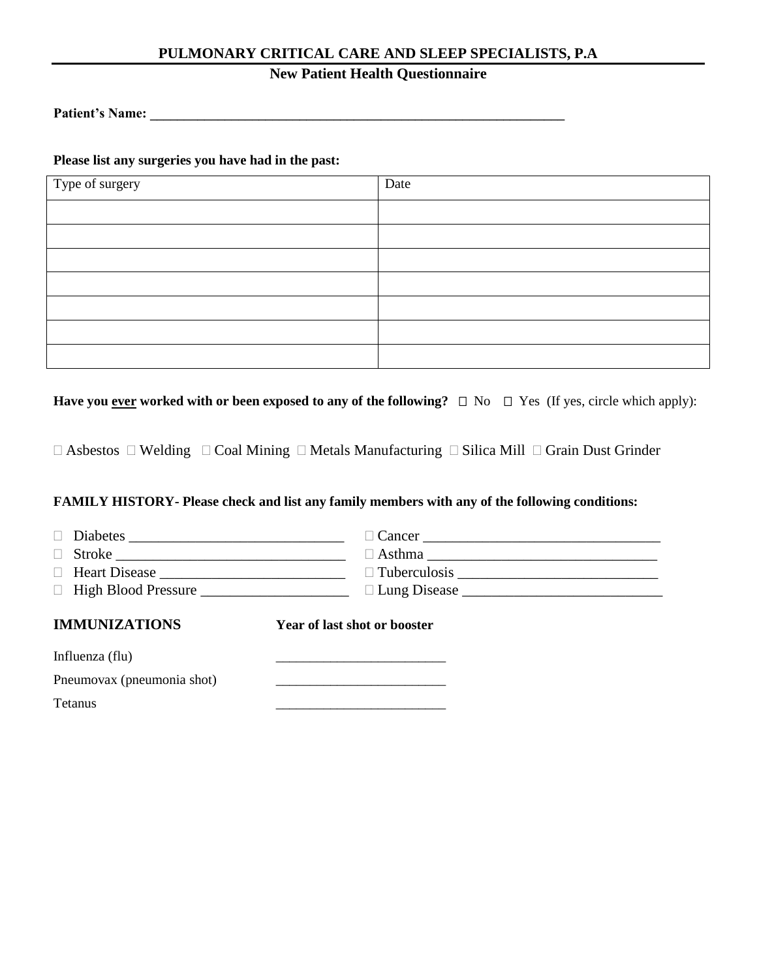### **PULMONARY CRITICAL CARE AND SLEEP SPECIALISTS, P.A**

## **New Patient Health Questionnaire**

Patient's Name:

**Please list any surgeries you have had in the past:**

| Type of surgery | Date |
|-----------------|------|
|                 |      |
|                 |      |
|                 |      |
|                 |      |
|                 |      |
|                 |      |
|                 |      |

**Have you <u>ever</u> worked with or been exposed to any of the following?**  $\Box$  No  $\Box$  Yes (If yes, circle which apply):

 $\Box$  Asbestos  $\Box$  Welding  $\Box$  Coal Mining  $\Box$  Metals Manufacturing  $\Box$  Silica Mill  $\Box$  Grain Dust Grinder

#### **FAMILY HISTORY- Please check and list any family members with any of the following conditions:**

| $\Box$                                                |                              |
|-------------------------------------------------------|------------------------------|
| $\text{Stroke} \underbrace{\qquad \qquad }$<br>$\Box$ | $\Box$ Asthma                |
|                                                       |                              |
|                                                       |                              |
| <b>IMMUNIZATIONS</b>                                  | Year of last shot or booster |
| Influenza (flu)                                       |                              |
| Pneumovax (pneumonia shot)                            |                              |
| <b>Tetanus</b>                                        |                              |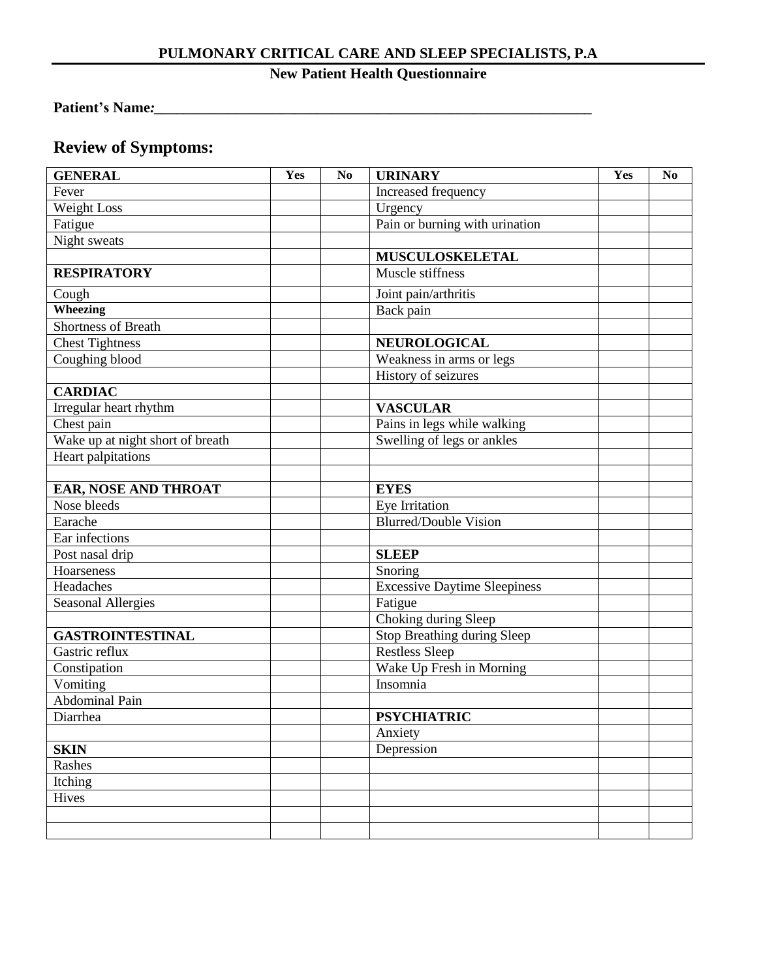## **PULMONARY CRITICAL CARE AND SLEEP SPECIALISTS, P.A**

# **New Patient Health Questionnaire**

## **Patient's Name***:\_\_\_\_\_\_\_\_\_\_\_\_\_\_\_\_\_\_\_\_\_\_\_\_\_\_\_\_\_\_\_\_\_\_\_\_\_\_\_\_\_\_\_\_\_\_\_\_\_\_\_\_\_\_\_\_\_\_\_*

# **Review of Symptoms:**

| <b>GENERAL</b>                   | Yes | N <sub>0</sub> | <b>URINARY</b>                      | Yes | N <sub>0</sub> |
|----------------------------------|-----|----------------|-------------------------------------|-----|----------------|
| Fever                            |     |                | Increased frequency                 |     |                |
| Weight Loss                      |     |                | Urgency                             |     |                |
| Fatigue                          |     |                | Pain or burning with urination      |     |                |
| Night sweats                     |     |                |                                     |     |                |
|                                  |     |                | MUSCULOSKELETAL                     |     |                |
| <b>RESPIRATORY</b>               |     |                | Muscle stiffness                    |     |                |
| Cough                            |     |                | Joint pain/arthritis                |     |                |
| <b>Wheezing</b>                  |     |                | Back pain                           |     |                |
| <b>Shortness of Breath</b>       |     |                |                                     |     |                |
| Chest Tightness                  |     |                | NEUROLOGICAL                        |     |                |
| Coughing blood                   |     |                | Weakness in arms or legs            |     |                |
|                                  |     |                | History of seizures                 |     |                |
| <b>CARDIAC</b>                   |     |                |                                     |     |                |
| Irregular heart rhythm           |     |                | <b>VASCULAR</b>                     |     |                |
| Chest pain                       |     |                | Pains in legs while walking         |     |                |
| Wake up at night short of breath |     |                | Swelling of legs or ankles          |     |                |
| Heart palpitations               |     |                |                                     |     |                |
|                                  |     |                |                                     |     |                |
| EAR, NOSE AND THROAT             |     |                | <b>EYES</b>                         |     |                |
| Nose bleeds                      |     |                | Eye Irritation                      |     |                |
| Earache                          |     |                | <b>Blurred/Double Vision</b>        |     |                |
| Ear infections                   |     |                |                                     |     |                |
| Post nasal drip                  |     |                | <b>SLEEP</b>                        |     |                |
| Hoarseness                       |     |                | Snoring                             |     |                |
| Headaches                        |     |                | <b>Excessive Daytime Sleepiness</b> |     |                |
| <b>Seasonal Allergies</b>        |     |                | Fatigue                             |     |                |
|                                  |     |                | Choking during Sleep                |     |                |
| <b>GASTROINTESTINAL</b>          |     |                | Stop Breathing during Sleep         |     |                |
| Gastric reflux                   |     |                | <b>Restless Sleep</b>               |     |                |
| Constipation                     |     |                | Wake Up Fresh in Morning            |     |                |
| Vomiting                         |     |                | Insomnia                            |     |                |
| <b>Abdominal Pain</b>            |     |                |                                     |     |                |
| Diarrhea                         |     |                | <b>PSYCHIATRIC</b>                  |     |                |
|                                  |     |                | Anxiety                             |     |                |
| <b>SKIN</b>                      |     |                | Depression                          |     |                |
| Rashes                           |     |                |                                     |     |                |
| Itching                          |     |                |                                     |     |                |
| Hives                            |     |                |                                     |     |                |
|                                  |     |                |                                     |     |                |
|                                  |     |                |                                     |     |                |